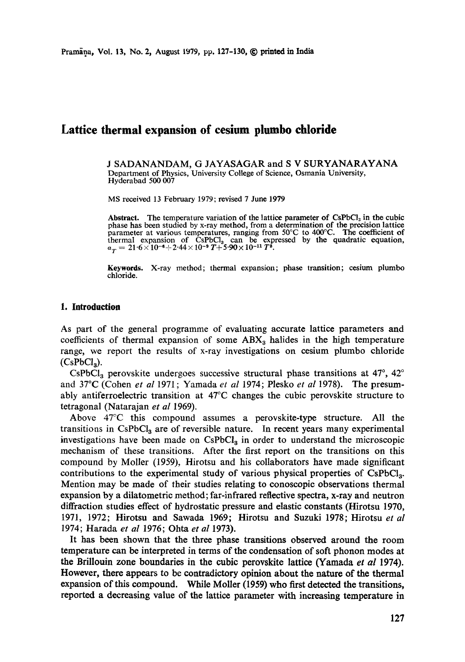# **Lattice thermal expansion of cesium phmbo chloride**

J SADANANDAM, G JAYASAGAR and S V SURYANARAYANA Department of Physics, University College of Science, Osmania University, Hyderabad 500 007

MS received 13 February 1979; revised 7 June 1979

Abstract. The temperature variation of the lattice parameter of CsPbCl<sub>3</sub> in the cubic phase has been studied by x-ray method, from a determination of the precision lattice parameter at various temperatures, ranging from 50°C to 400°C. The coefficient of thermal expansion of CsPbCl<sub>3</sub> can be expressed by the quadratic equation,  $a_T = 21.6 \times 10^{-6} + 2.44 \times 10^{-9} T + 5.90 \times 10^{-11} T^2$ .

**Keywords.** X-ray method; thermal expansion; phase transition; cesium plumbo chloride.

#### **1. Introduction**

As part of the general programme of evaluating accurate lattice parameters and coefficients of thermal expansion of some  $ABX<sub>3</sub>$  halides in the high temperature range, we report the results of x-ray investigations on cesium plumbo chloride  $(CsPbCl<sub>3</sub>)$ .

CsPbCl<sub>3</sub> perovskite undergoes successive structural phase transitions at  $47^{\circ}$ ,  $42^{\circ}$ and 37°C (Cohen *et al* 1971; Yamada *et al* 1974; Plesko *et al* 1978). The presumably antiferroelectric transition at  $47^{\circ}$ C changes the cubic perovskite structure to tetragonal (Natarajan *et al* 1969).

Above 47°C this compound assumes a perovskite-type structure. All the transitions in CsPbCl<sub>3</sub> are of reversible nature. In recent years many experimental investigations have been made on  $CsPbCl<sub>3</sub>$  in order to understand the microscopic mechanism of these transitions. After the first report on the transitions on this compound by Moiler (1959), Hirotsu and his collaborators have made significant contributions to the experimental study of various physical properties of  $CsPbCl<sub>a</sub>$ . Mention may be made of their studies relating to conoscopie observations thermal expansion by a dilatometrie method; far-infrared reflective spectra, x-ray and neutron diffraction studies effect of hydrostatic pressure and elastic constants (Hirotsu 1970, 1971, 1972; Hirotsu and Sawada 1969; Hirotsu and Suzuki 1978; Hirotsu *et al*  1974; Harada *et al* 1976; Ohta *et al* 1973).

It has been shown that the three phase transitions observed around the room temperature can be interpreted in terms of the condensation of soft phonon modes at the Brillouin zone boundaries in the cubic perovskite lattice (Yamada *et al* 1974). However, there appears to be contradictory opinion about the nature of the thermal expansion of this compound. While Moiler (1959) who first detected the transitions, reported a decreasing value of the lattice parameter with increasing temperature in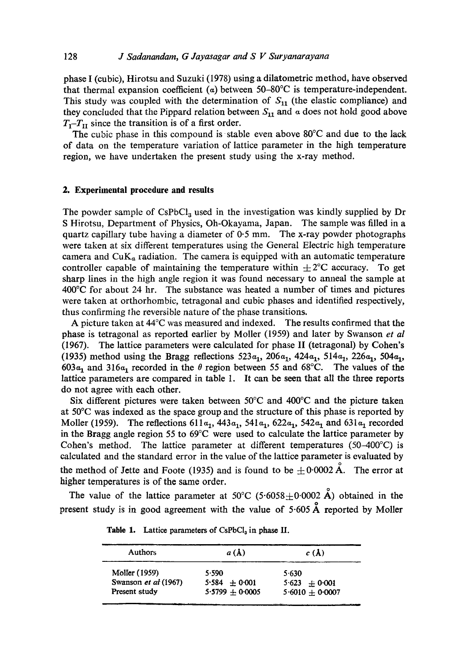phase I (cubic), Hirotsu and Suzuki (1978) using a dilatometric method, have observed that thermal expansion coefficient ( $\alpha$ ) between 50-80°C is temperature-independent. This study was coupled with the determination of  $S_{11}$  (the elastic compliance) and they concluded that the Pippard relation between  $S_{11}$  and  $\alpha$  does not hold good above  $T_T$ <sup>*T<sub>I</sub>I*</sup> since the transition is of a first order.

The cubic phase in this compound is stable even above 80°C and due to the lack of data on the temperature variation of lattice parameter in the high temperature region, we have undertaken the present study using the x-ray method.

#### **2. Experimental procedure and results**

The powder sample of  $CsPbCl<sub>3</sub>$  used in the investigation was kindly supplied by Dr S Hirotsu, Department of Physics, Oh-Okayama, Japan. The sample was filled in a quartz capillary tube having a diameter of  $0.5$  mm. The x-ray powder photographs were taken at six different temperatures using the General Electric high temperature camera and  $CuK_a$  radiation. The camera is equipped with an automatic temperature controller capable of maintaining the temperature within  $\pm 2^{\circ}$ C accuracy. To get sharp lines in the high angle region it was found necessary to anneal the sample at 400°C for about 24 hr. The substance was heated a number of times and pictures were taken at orthorhombic, tetragonal and cubic phases and identified respectively, thus confirming the reversible nature of the phase transitions.

A picture taken at  $44^{\circ}$ C was measured and indexed. The results confirmed that the phase is tetragonal as reported earlier by Moiler (1959) and later by Swanson *et al*  (1967). The lattice parameters were calculated for phase II (tetragonal) by Cohen's (1935) method using the Bragg reflections  $523a_1$ ,  $206a_1$ ,  $424a_1$ ,  $514a_1$ ,  $226a_1$ ,  $504a_1$ , 603 $\alpha_1$  and 316 $\alpha_1$  recorded in the  $\theta$  region between 55 and 68°C. The values of the lattice parameters are compared in table 1. It can be seen that all the three reports do not agree with each other.

Six different pictures were taken between  $50^{\circ}$ C and  $400^{\circ}$ C and the picture taken at 50°C was indexed as the space group and the structure of this phase is reported by Moller (1959). The reflections  $611a_1$ ,  $443a_1$ ,  $541a_1$ ,  $622a_1$ ,  $542a_1$  and  $631a_1$  recorded in the Bragg angle region 55 to  $69^{\circ}$ C were used to calculate the lattice parameter by Cohen's method. The lattice parameter at different temperatures  $(50-400^{\circ}C)$  is calculated and the standard error in the value of the lattice parameter is evaluated by the method of Jette and Foote (1935) and is found to be  $\pm 0.0002 \text{ Å}$ . The error at higher temperatures is of the same order.

The value of the lattice parameter at 50°C (5.6058 $\pm$ 0.0002 Å) obtained in the present study is in good agreement with the value of  $5.605 \text{ Å}$  reported by Moller

| <b>Authors</b>       | a(A)              | c(A)              |  |
|----------------------|-------------------|-------------------|--|
| Moller (1959)        | 5.590             | 5.630             |  |
| Swanson et al (1967) | $5.584 + 0.001$   | $5.623 \pm 0.001$ |  |
| Present study        | $5.5799 + 0.0005$ | $5.6010 + 0.0007$ |  |

Table 1. Lattice parameters of CsPbCI<sub>3</sub> in phase II.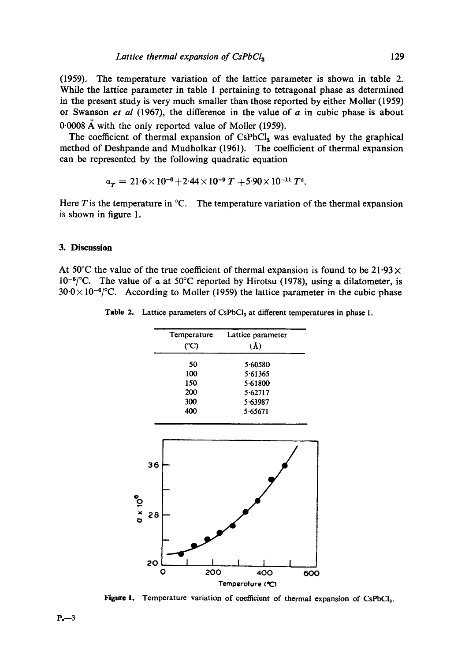(1959). The temperature variation of the lattice parameter is shown in table 2. While the lattice parameter in table 1 pertaining to tetragonal phase as determined in the present study is very much smaller than those reported by either Moiler (1959) or Swanson *et al* (1967), the difference in the value of a in cubic phase is about  $0.0008$  Å with the only reported value of Moller (1959).

The coefficient of thermal expansion of CsPbCl<sub>3</sub> was evaluated by the graphical method of Deshpande and Mudholkar (1961). The coefficient of thermal expansion can be represented by the following quadratic equation

$$
a_T = 21.6 \times 10^{-6} + 2.44 \times 10^{-9} T + 5.90 \times 10^{-11} T^2.
$$

Here  $T$  is the temperature in  ${}^{\circ}C$ . The temperature variation of the thermal expansion is shown in figure 1.

#### **3. Discussion**

At 50°C the value of the true coefficient of thermal expansion is found to be 21.93 $\times$  $10^{-6}$ °C. The value of a at 50°C reported by Hirotsu (1978), using a dilatometer, is  $30.0\times10^{-6}$  °C. According to Moller (1959) the lattice parameter in the cubic phase

| Temperature | Lattice parameter |  |
|-------------|-------------------|--|
| (°C)        | $(\mathbf{A})$    |  |
| 50          | 5.60580           |  |
| 100         | 5.61365           |  |
| 150         | 5.61800           |  |
| 200         | 5.62717           |  |
| 300         | 5.63987           |  |
| 400         | 5.65671           |  |
|             |                   |  |

Table 2. Lattice parameters of CsPbCl<sub>3</sub> at different temperatures in phase I.



Figure 1. Temperature variation of coefficient of thermal expansion of CsPbCl<sub>3</sub>.